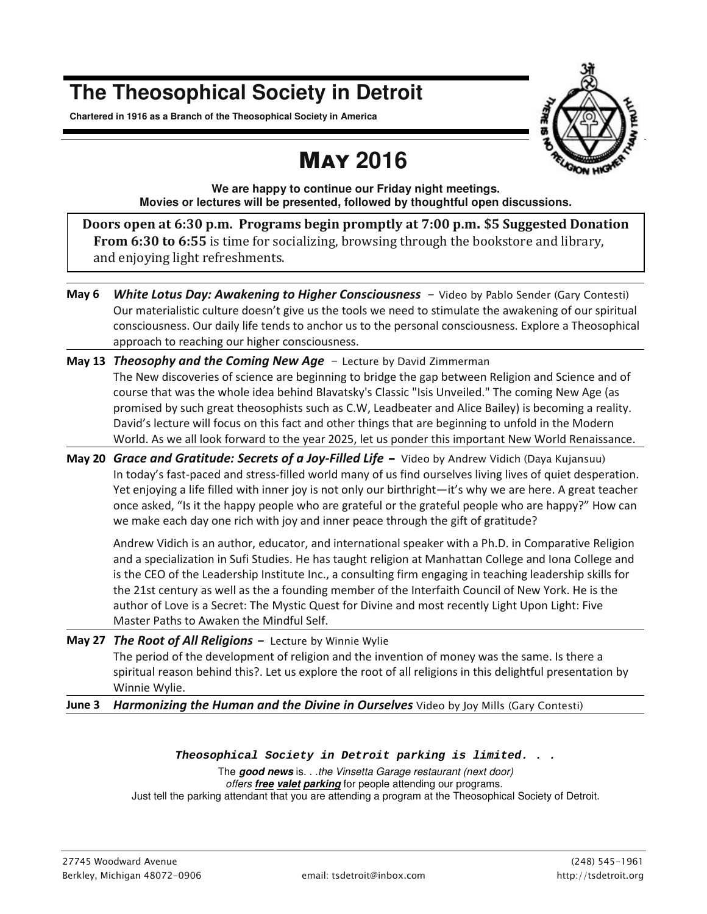# **The Theosophical Society in Detroit**

**Chartered in 1916 as a Branch of the Theosophical Society in America** 

# MAY **2016**



**We are happy to continue our Friday night meetings. Movies or lectures will be presented, followed by thoughtful open discussions.** 

**Doors open at 6:30 p.m. Programs begin promptly at 7:00 p.m. \$5 Suggested Donation From 6:30 to 6:55** is time for socializing, browsing through the bookstore and library, and enjoying light refreshments.

- **May 6** *White Lotus Day: Awakening to Higher Consciousness Video by Pablo Sender (Gary Contesti)* Our materialistic culture doesn't give us the tools we need to stimulate the awakening of our spiritual consciousness. Our daily life tends to anchor us to the personal consciousness. Explore a Theosophical approach to reaching our higher consciousness.
- **May 13** *Theosophy and the Coming New Age Lecture by David Zimmerman*  The New discoveries of science are beginning to bridge the gap between Religion and Science and of course that was the whole idea behind Blavatsky's Classic "Isis Unveiled." The coming New Age (as promised by such great theosophists such as C.W, Leadbeater and Alice Bailey) is becoming a reality. David's lecture will focus on this fact and other things that are beginning to unfold in the Modern World. As we all look forward to the year 2025, let us ponder this important New World Renaissance.
- **May 20** *Grace and Gratitude: Secrets of a Joy-Filled Life Video by Andrew Vidich (Daya Kujansuu)* In today's fast-paced and stress-filled world many of us find ourselves living lives of quiet desperation. Yet enjoying a life filled with inner joy is not only our birthright—it's why we are here. A great teacher once asked, "Is it the happy people who are grateful or the grateful people who are happy?" How can we make each day one rich with joy and inner peace through the gift of gratitude?

Andrew Vidich is an author, educator, and international speaker with a Ph.D. in Comparative Religion and a specialization in Sufi Studies. He has taught religion at Manhattan College and Iona College and is the CEO of the Leadership Institute Inc., a consulting firm engaging in teaching leadership skills for the 21st century as well as the a founding member of the Interfaith Council of New York. He is the author of Love is a Secret: The Mystic Quest for Divine and most recently Light Upon Light: Five Master Paths to Awaken the Mindful Self.

- **May 27** *The Root of All Religions Lecture by Winnie Wylie*  The period of the development of religion and the invention of money was the same. Is there a spiritual reason behind this?. Let us explore the root of all religions in this delightful presentation by Winnie Wylie.
- **June 3** *Harmonizing the Human and the Divine in Ourselves Video by Joy Mills (Gary Contesti)*

#### *Theosophical Society in Detroit parking is limited. . .*

The **good news** is. . .the Vinsetta Garage restaurant (next door) offers **free valet parking** for people attending our programs. Just tell the parking attendant that you are attending a program at the Theosophical Society of Detroit.